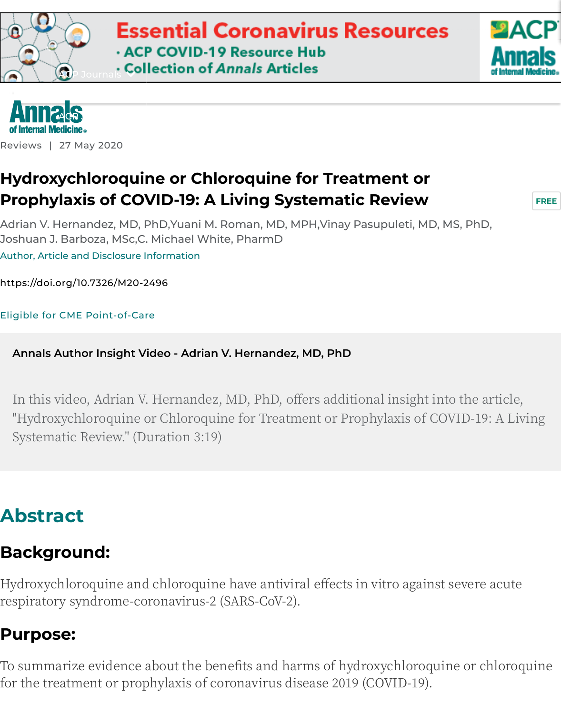

### **[Hydro](https://googleads.g.doubleclick.net/pcs/click?xai=AKAOjsuxj-HeIXWq6JyMw0sS6MX4lqHtYDiuDV4P8RxcajEJx2gdTW7goQltZsdWET7nsVET42fSbIVAV0ngWG6euF8K90Zc8gyw-9ObUZbaTMZn9TQdoyPMRaPCwdF7OIKbL8nqQGoBnT9sXBaW4EGZnf-5cNsUBBW0RMcnGy09mqtIfpIrnBvB_VSa2GXSI6rEarqVXRBrNdKsguvK2s6Jy1MYBmnWE8psWqWGOlwpIl_pZ4UM81bGgcL7DaJEHYMxKBbcn9kkQSEEKRPpyX479fN3bkQ&sig=Cg0ArKJSzNAFiYiK8Jfq&adurl=https://www.acponline.org/clinical-information/clinical-resources-products/coronavirus-disease-2019-covid-19-information-for-internists%3Futm_source%3Dannals.org%26utm_medium%3Dmktg-house-banner%26utm_campaign%3DMD9286-lb%26utm_term%3Dcovid-19&nx=CLICK_X&ny=CLICK_Y)[xychloroqui](https://www.acpjournals.org/doi/full/10.7326/M20-2496#)[ne or Chloroquine for Treatment or](https://googleads.g.doubleclick.net/pcs/click?xai=AKAOjsuxj-HeIXWq6JyMw0sS6MX4lqHtYDiuDV4P8RxcajEJx2gdTW7goQltZsdWET7nsVET42fSbIVAV0ngWG6euF8K90Zc8gyw-9ObUZbaTMZn9TQdoyPMRaPCwdF7OIKbL8nqQGoBnT9sXBaW4EGZnf-5cNsUBBW0RMcnGy09mqtIfpIrnBvB_VSa2GXSI6rEarqVXRBrNdKsguvK2s6Jy1MYBmnWE8psWqWGOlwpIl_pZ4UM81bGgcL7DaJEHYMxKBbcn9kkQSEEKRPpyX479fN3bkQ&sig=Cg0ArKJSzNAFiYiK8Jfq&adurl=https://www.acponline.org/clinical-information/clinical-resources-products/coronavirus-disease-2019-covid-19-information-for-internists%3Futm_source%3Dannals.org%26utm_medium%3Dmktg-house-banner%26utm_campaign%3DMD9286-lb%26utm_term%3Dcovid-19&nx=CLICK_X&ny=CLICK_Y) [P](https://www.acponline.org/)[rophy](https://www.acpjournals.org/journal/aim)[laxis of COV](https://www.acpjournals.org/doi/full/10.7326/M20-2496#)ID-19: A Living Systematic Review**

Adrian V. Hernandez, MD, PhD,Yuani M. Roman, MD, MPH,Vinay Pasupuleti, MD, MS, Pl Joshuan J. Barboza, MSc,C. Michael White, PharmD

Author, Article and Disclosure Information

https://doi.org/10.7326/M20-2496

[Eligible for CME Point-of-Care](https://www.acpjournals.org/doi/full/10.7326/M20-2496#)

**[Annals Author Insight Video - Adr](https://www.acpjournals.org/doi/full/10.7326/M20-2496#)ian V. Hernandez, MD, PhD**

In this video, Adrian V. Hernandez, MD, PhD, offers additional insight into the "Hydroxychloroquine or Chloroquine for Treatment or Prophylaxis of COVID-Systematic Review." (Duration 3:19)

## **Abstract**

### **Background:**

Hydroxychloroquine and chloroquine have antiviral effects in vitro against sever respiratory syndrome-coronavirus-2 (SARS-CoV-2).

### **Purpose:**

To summarize evidence about the benefits and harms of hydroxychloroquine or for the treatment or prophylaxis of coronavirus disease 2019 (COVID-19).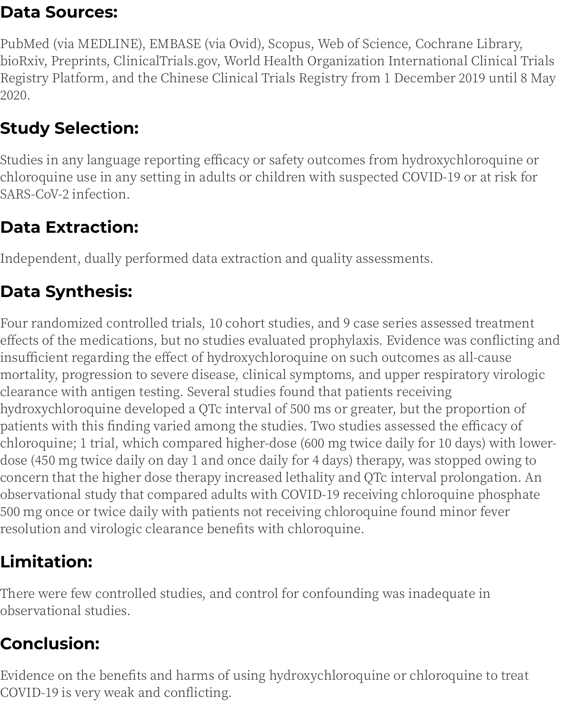### **Data Sources:**

PubMed (via MEDLINE), EMBASE (via Ovid), Scopus, Web of Science, Cochrane Library, bioRxiv, Preprints, ClinicalTrials.gov, World Health Organization International Clinical Trials Registry Platform, and the Chinese Clinical Trials Registry from 1 December 2019 until 8 May 2020.

## **Study Selection:**

Studies in any language reporting efficacy or safety outcomes from hydroxychloroquine or chloroquine use in any setting in adults or children with suspected COVID-19 or at risk for SARS-CoV-2 infection.

### **Data Extraction:**

Independent, dually performed data extraction and quality assessments.

## **Data Synthesis:**

Four randomized controlled trials, 10 cohort studies, and 9 case series assessed treatment effects of the medications, but no studies evaluated prophylaxis. Evidence was conflicting and insufficient regarding the effect of hydroxychloroquine on such outcomes as all-cause mortality, progression to severe disease, clinical symptoms, and upper respiratory virologic clearance with antigen testing. Several studies found that patients receiving hydroxychloroquine developed a QTc interval of 500 ms or greater, but the proportion of patients with this finding varied among the studies. Two studies assessed the efficacy of chloroquine; 1 trial, which compared higher-dose (600 mg twice daily for 10 days) with lowerdose (450 mg twice daily on day 1 and once daily for 4 days) therapy, was stopped owing to concern that the higher dose therapy increased lethality and QTc interval prolongation. An observational study that compared adults with COVID-19 receiving chloroquine phosphate 500 mg once or twice daily with patients not receiving chloroquine found minor fever resolution and virologic clearance benefits with chloroquine.

## **Limitation:**

There were few controlled studies, and control for confounding was inadequate in observational studies.

## **Conclusion:**

Evidence on the benefits and harms of using hydroxychloroquine or chloroquine to treat COVID-19 is very weak and conflicting.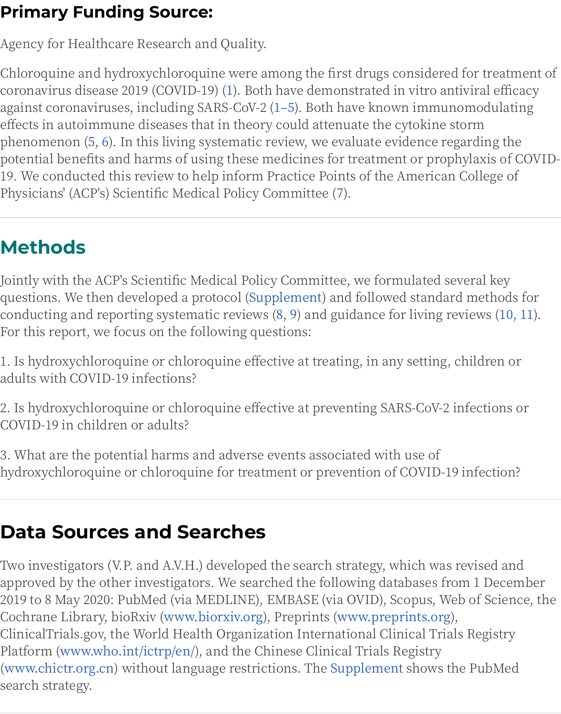against coronaviruses, including SARS-CoV-2 (1-5). Both have known immunom effects in autoimmune diseases that in theory could attenuate the cytokine stori phenomenon (5, 6). In this living systematic review, we evaluate evidence regard potential benefits and harms of using these medicines for treatment or prophyla 19. We conducted this review to help inform Practice Points of the American Co. Physicians' (ACP's) Scientific Medical Policy Committee (7).

# **Methods**

Jointly with the ACP's Scientific Medical Policy Committee, we formulated sever questions. We then developed a protocol (Supplement) and followed standard m conducting and reporting systematic reviews (8, 9) and guidance for living revie For this report, we focus on the following questions:

1. Is hydroxychloroquine or chloroquine effective at treating, in any setting, chil adults with COVID-19 infections?

2. Is hydroxychloroquine or chloroquine effective at preventing SARS-CoV-2 infe COVID-19 in children or adults?

3. What are the potential harms and adverse events associated with use of hydroxychloroquine or chloroquine for treatment or prevention of COVID-19 inf

## **Data Sources and Searches**

Two investigators (V.P. and A.V.H.) developed the search strategy, which was revi approved by the other investigators. We searched the following databases from 1 2019 to 8 May 2020: PubMed (via MEDLINE), EMBASE (via OVID), Scopus, Web o Cochrane Library, bioRxiv (www.biorxiv.org), Preprints (www.preprints.org), ClinicalTrials.gov, the World Health Organization International Clinical Trials R Platform (www.who.int/ictrp/en/), and the Chinese Clinical Trials Registry (www.chictr.org.cn) without language restrictions. The Supplement shows the P search strategy.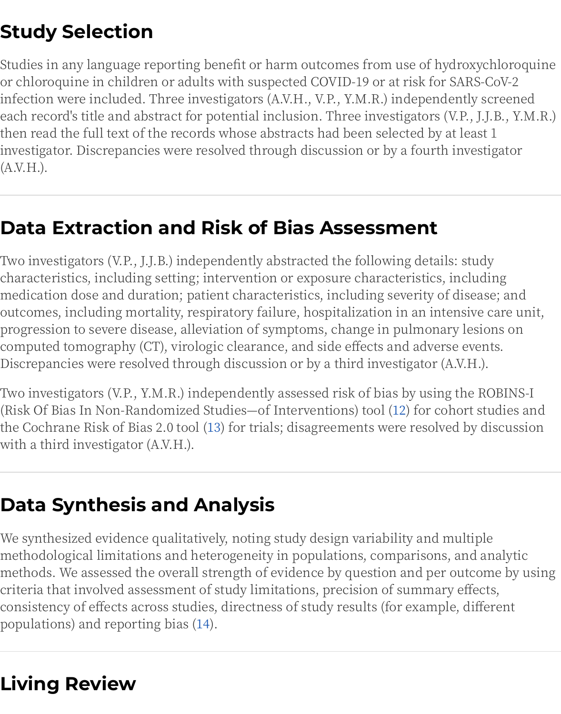infection were included. Three investigators (A.V.H., V.P., Y.M.R.) independently each record's title and abstract for potential inclusion. Three investigators (V.P., then read the full text of the records whose abstracts had been selected by at lea investigator. Discrepancies were resolved through discussion or by a fourth inve  $(A.V.H.).$ 

## **Data Extraction and Risk of Bias Assessment**

Two investigators (V.P., J.J.B.) independently abstracted the following details: stu characteristics, including setting; intervention or exposure characteristics, inclu medication dose and duration; patient characteristics, including severity of dise outcomes, including mortality, respiratory failure, hospitalization in an intensiv progression to severe disease, alleviation of symptoms, change in pulmonary les computed tomography (CT), virologic clearance, and side effects and adverse eve Discrepancies were resolved through discussion or by a third investigator (A.V.H

Two investigators (V.P., Y.M.R.) independently assessed risk of bias by using the (Risk Of Bias In Non-Randomized Studies-of Interventions) tool (12) for cohort the Cochrane Risk of Bias 2.0 tool (13) for trials; disagreements were resolved by with a third investigator (A.V.H.).

## **Data Synthesis and Analysis**

We synthesized evidence qualitatively, noting study design variability and multimethodological limitations and heterogeneity in populations, comparisons, and methods. We assessed the overall strength of evidence by question and per outc criteria that involved assessment of study limitations, precision of summary effe consistency of effects across studies, directness of study results (for example, di populations) and reporting bias (14).

# **Living Review**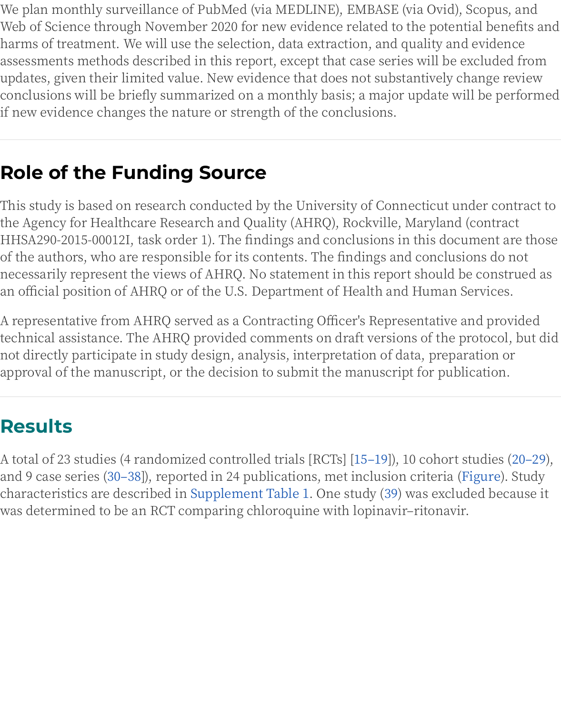conclusions will be briefly summarized on a monthly basis, a major apuate will if new evidence changes the nature or strength of the conclusions.

# **Role of the Funding Source**

This study is based on research conducted by the University of Connecticut und the Agency for Healthcare Research and Quality (AHRQ), Rockville, Maryland (c HHSA290-2015-00012I, task order 1). The findings and conclusions in this docun of the authors, who are responsible for its contents. The findings and conclusion necessarily represent the views of AHRQ. No statement in this report should be an official position of AHRQ or of the U.S. Department of Health and Human Sei

A representative from AHRQ served as a Contracting Officer's Representative an technical assistance. The AHRQ provided comments on draft versions of the pro not directly participate in study design, analysis, interpretation of data, prepara approval of the manuscript, or the decision to submit the manuscript for public

## **Results**

A total of 23 studies (4 randomized controlled trials [RCTs] [15–19]), 10 cohort stu and 9 case series (30–38]), reported in 24 publications, met inclusion criteria (Fig characteristics are described in Supplement Table 1. One study (39) was exclude was determined to be an RCT comparing chloroquine with lopinavir-ritonavir.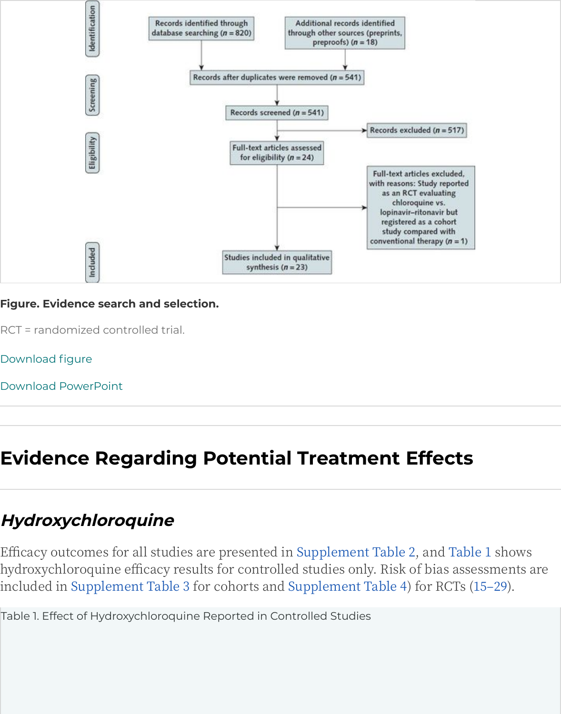

#### **Figure. Evidence search and selection.**

RCT = randomized controlled trial.

Download figure

Download PowerPoint

# **[Evidence](https://www.acpjournals.org/na101/home/literatum/publisher/acp/journals/content/aim/0/aim.ahead-of-print/m20-2496/20200605/images/large/m202496ff1.jpeg) Regarding Potential Treatment Effects**

### **Hydroxychloroquine**

Efficacy outcomes for all studies are presented in Supplement Table 2, and Tabl hydroxychloroquine efficacy results for controlled studies only. Risk of bias asse included in Supplement Table 3 for cohorts and Supplement Table 4) for RCTs (1

<span id="page-5-0"></span>Table 1. Effect of Hydroxychloroquine Reported in Controlled Studies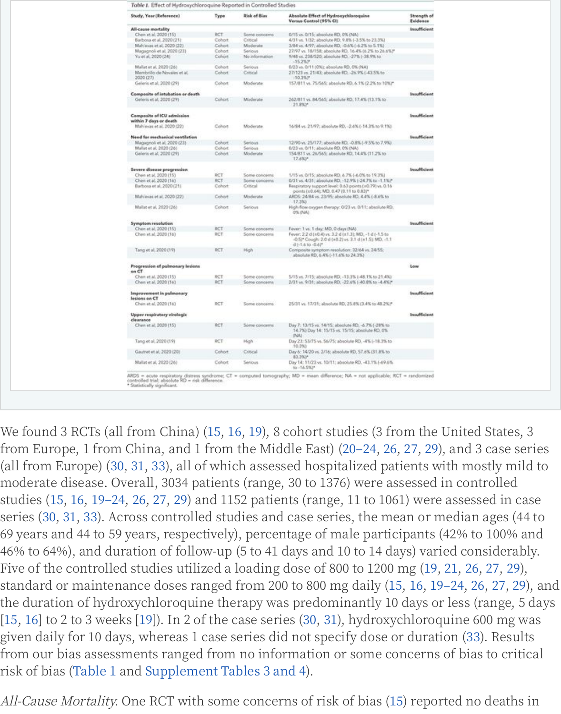| Geleris et al. 2020 (29)                            | Cohort. | Moderate       | 262/811 vs. 84/565; absolute RD. 17.4% (13.1% to<br>21,8%*                                                                                       |                     |
|-----------------------------------------------------|---------|----------------|--------------------------------------------------------------------------------------------------------------------------------------------------|---------------------|
| Composite of ICU admission                          |         |                |                                                                                                                                                  | <b>Insufficient</b> |
| within 7 days or death<br>Malvevas et al. 2020 (22) | Cohort  | Moderate       | 16/84 vs. 21/97; allookute RD, -2.6% (-14.3% to 9.1%).                                                                                           |                     |
|                                                     |         |                |                                                                                                                                                  |                     |
| Weed for mechanical ventilation                     |         |                |                                                                                                                                                  | Insufficient        |
| Magagnoli et al. 2020 (23)                          | Cohort  | Serious        | 12/90 vs. 25/177; absolute RD, -0.8% (-9.5% to 7.9%).                                                                                            |                     |
| Mallat et al. 2020 (26)                             | Cohort  | Senous         | 0/23 vs. 0/11; absolute RD, 0% (NA)                                                                                                              |                     |
| Galleris et al. 2020 (29)                           | Cohort: | Moderate:      | 154/811 vs. 26/565; absolute RD, 14.4% (11.2% to<br>17.6%3*                                                                                      |                     |
| Severe disease progression                          |         |                |                                                                                                                                                  | Insufficient        |
|                                                     |         |                |                                                                                                                                                  |                     |
| Chen et al. 2020 (15)                               | RCT     | Some concerns  | 1715 vs. 0/15; absolute RD, 6.7% (-6.0% to 19.3%)                                                                                                |                     |
| Chen et al. 2020 (16)                               | RCT-    | Some concerns: | 0/31 vs. 4/31; absolute RD, -12.9% (-24.7% to -1.1%)*                                                                                            |                     |
| Barbosa et al. 2020 (21)                            | Cohort  | Critical       | Respiratory support level: 0.63 points (x0.79) vs. 0.16<br>points (x0.64); MD, 0.47 (0.11 to 0.83)*                                              |                     |
| Malveyas et al. 2020 (22)                           | Cohort. | Moderate       | ARDS: 24/84 ys. 23/95; absolute RD, 4.4% (-8.6% to<br>17.3%)                                                                                     |                     |
| Mallat et al, 2020-(26)                             | Cohort. | Serious        | High-float caygen therapy: 0/23 vs. 0/11; absolute RD.<br>O% (NA)                                                                                |                     |
| Symptom resolution                                  |         |                |                                                                                                                                                  | <b>Insufficient</b> |
| Chen et al, 2020 (15)                               | RCT     | Some concerns  | Fever: 1 vs. 1 day; MD, 0 days (NA)                                                                                                              |                     |
| Chen et al. 2020 [16]                               | RCT.    | Some concerns  | Fever: 2.2 d (n0.4) ys. 3.2 d (n1.3); MD, -1 d (-1.5 to<br>-0.52* Cough: 2.0 d (±0.2) vs. 3.1 d (±1.5); MD, -1.1<br>$d[-1.6 \text{ to } -0.6]^4$ |                     |
| Tang et al., 2020 (19)                              | RCT.    | High           | Composite symptom resolution: 32/64 vs. 24/55;<br>absolute RD, 6.4% [-11.6% to 24.3%)                                                            |                     |
| Progression of pulmonary lesions<br>en CT           |         |                |                                                                                                                                                  | Low                 |
| Chen et al. 2020 (15)                               | RCT     | Some concerns  | S/15 yrs. 7/15; absolute RD, -13.3% (-48.1% to 21.4%)                                                                                            |                     |
| Chen et al. 2020 (16)                               | RCT     | Some concerns  | 2/31 vs. 9/31; absolute RD, -22.6% (-40.8% to -4.4%)*                                                                                            |                     |
| Improvement in pulmonary<br>letions on CT           |         |                |                                                                                                                                                  | Insufficient        |
| Chen et al. 2020 (16)                               | RCT     | Some concerns. | 25/31 vs. 17/31; absolute RD, 25.8% (3.4% to 48.2%)*.                                                                                            |                     |
| Upper respiratory virologic<br>clearance            |         |                |                                                                                                                                                  | <b>Insufficient</b> |
| Chen et al. 2020 (15)                               | RCT     | Some concerns  | Day 7: 13/15 vs. 14/15; absolute RD, -6.7% (-28% to<br>14.7%) Day 14: 15/15 vs. 15/15; absolute RD, DS.<br>INAS                                  |                     |
| Tang et al, 2020 (19)                               | RCT     | High           | Day 23: 53/75 vs. 56/75; absolute RD, -4% (-18.3% to<br>10.3%1                                                                                   |                     |
| Gautret et al. 2020 (20)                            | Cohort. | Critical       | Day 6: 14/20 yii, 2/16; absolute RD, 57.6% (31.8% to<br>83.3%/*                                                                                  |                     |
| Mallat et al, 2020 (26)                             | Cohort  | Serious.       | Day 14: 11/23 vs. 10/11; absolute RD, -43.1% (-69.6%)<br>to -16.5%P                                                                              |                     |

We found 3 RCTs (all from China) (15, 16, 19), 8 cohort studies (3 from the United from Europe, 1 from China, and 1 from the Middle East) (20–24, 26, 27, 29), and (all from Europe) (30, 31, 33), all of which assessed hospitalized patients with mo moderate disease. Overall, 3034 patients (range, 30 to 1376) were assessed in con studies (15, 16, 19–24, 26, 27, 29) and 1152 patients (range, 11 to 1061) were asses series (30, 31, 33). Across controlled studies and case series, the mean or mediar 69 years and 44 to 59 years, respectively), percentage of male participants (42% t 46% to 64%), and duration of follow-up (5 to 41 days and 10 to 14 days) varied cor Five of the controlled studies utilized a loading dose of 800 to 1200 mg (19, 21, 26 standard or maintenance doses ranged from 200 to 800 mg daily (15, 16, 19–24, 2 the duration of hydroxychloroquine therapy was predominantly 10 days or less ( [15, 16] to 2 to 3 weeks [19]). In 2 of the case series (30, 31), hydroxychloroquine ( given daily for 10 days, whereas 1 case series did not specify dose or duration (33 from our bias assessments ranged from no information or some concerns of bia risk of bias (Table 1 and Supplement Tables 3 and 4).

All-Cause Mortality. One RCT with some concerns of risk of bias (15) reported no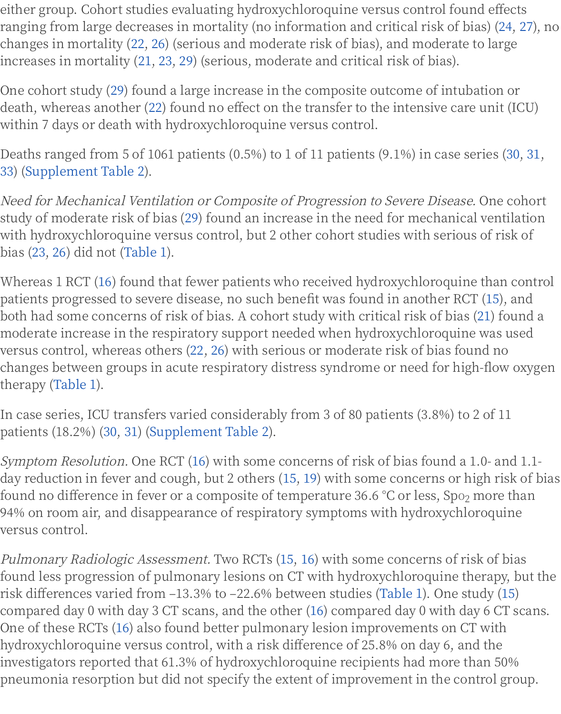death, whereas another (22) found no effect on the transfer to the intensive care within 7 days or death with hydroxychloroquine versus control.

Deaths ranged from 5 of 1061 patients (0.5%) to 1 of 11 patients (9.1%) in case se 33) (Supplement Table 2).

Need for Mechanical Ventilation or Composite of Progression to Severe Disease. study of moderate risk of bias (29) found an increase in the need for mechanical with hydroxychloroquine versus control, but 2 other cohort studies with serious bias (23, 26) did not (Table 1).

Whereas 1 RCT (16) found that fewer patients who received hydroxychloroquine patients progressed to severe disease, no such benefit was found in another RCT both had some concerns of risk of bias. A cohort study with critical risk of bias ( moderate increase in the respiratory support needed when hydroxychloroquine versus control, whereas others (22, 26) with serious or moderate risk of bias fou changes between groups in acute respiratory distress syndrome or need for high therapy (Table 1).

In case series, ICU transfers varied considerably from 3 of 80 patients (3.8%) to 2 patients (18.2%) (30, 31) (Supplement Table 2).

Symptom Resolution. One RCT (16) with some concerns of risk of bias found a 1 day reduction in fever and cough, but 2 others (15, 19) with some concerns or hi found no difference in fever or a composite of temperature 36.6 °C or less, Spo<sub>2</sub> i 94% on room air, and disappearance of respiratory symptoms with hydroxychlo: versus control.

Pulmonary Radiologic Assessment. Two RCTs (15, 16) with some concerns of ris found less progression of pulmonary lesions on CT with hydroxychloroquine the risk differences varied from -13.3% to -22.6% between studies (Table 1). One stu compared day 0 with day 3 CT scans, and the other (16) compared day 0 with day One of these RCTs (16) also found better pulmonary lesion improvements on CT hydroxychloroquine versus control, with a risk difference of 25.8% on day 6, and investigators reported that 61.3% of hydroxychloroquine recipients had more th pneumonia resorption but did not specify the extent of improvement in the con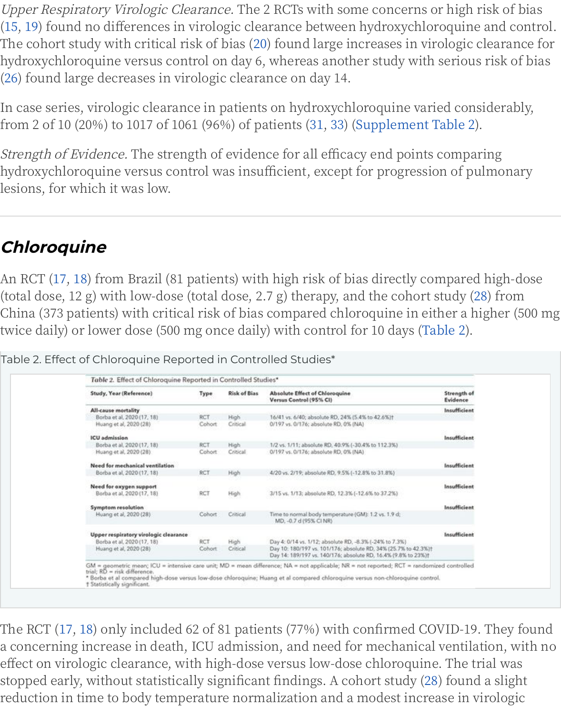In case series, virologic clearance in patients on hydroxychloroquine varied con from 2 of 10 (20%) to 1017 of 1061 (96%) of patients (31, 33) (Supplement Table 2)

Strength of Evidence. The strength of evidence for all efficacy end points compa hydroxychloroquine versus control was insufficient, except for progression of pı lesions, for which it was low.

### **Chloroquine**

An RCT (17, 18) from Brazil (81 patients) with high risk of bias directly compareo (total dose, 12 g) with low-dose (total dose, 2.7 g) therapy, and the cohort study (2) China (373 patients) with critical risk of bias compared chloroquine in either a h twice daily) or lower dose (500 mg once daily) with control for 10 days (Table 2).

| Study, Year (Reference)                               | Type                 | <b>Risk of Bias</b>     | <b>Absolute Effect of Chloroquine</b><br>Versus Control (95% CI)                                                                  | Strength of<br>Evidence |
|-------------------------------------------------------|----------------------|-------------------------|-----------------------------------------------------------------------------------------------------------------------------------|-------------------------|
| All-cause mortality                                   |                      |                         |                                                                                                                                   | Insufficient            |
| Borba et al, 2020 (17, 18)<br>Huang et al, 2020 (28)  | <b>RCT</b><br>Cohort | <b>High</b><br>Critical | 16/41 vs. 6/40; absolute RD, 24% (5.4% to 42.6%)t<br>0/197 vs. 0/176; absolute RD, 0% (NA)                                        |                         |
| <b>ICU</b> admission                                  |                      |                         |                                                                                                                                   | Insufficient            |
| Borba et al. 2020 (17, 18)<br>Huang et al, 2020 (28)  | <b>RCT</b><br>Cohort | <b>High</b><br>Critical | 1/2 vs. 1/11; absolute RD, 40.9% (-30.4% to 112.3%)<br>0/197 vs. 0/176; absolute RD, 0% (NA)                                      |                         |
| Need for mechanical ventilation                       |                      |                         |                                                                                                                                   | Insufficient            |
| Borba et al. 2020 (17, 18)                            | <b>RCT</b>           | High                    | 4/20 vs. 2/19; absolute RD, 9.5% (-12.8% to 31.8%)                                                                                |                         |
| Need for oxygen support<br>Borba et al, 2020 (17, 18) | <b>RCT</b>           | <b>High</b>             | 3/15 vs. 1/13; absolute RD, 12.3% (-12.6% to 37.2%)                                                                               | Insufficient            |
| Symptom resolution                                    |                      |                         |                                                                                                                                   | Insufficient            |
| Huang et al. 2020 (28).                               | Cohort               | Critical                | Time to normal body temperature (GM): 1.2 vs. 1.9 d;<br>MD, -0.7 d (95% CI NR)                                                    |                         |
| Upper respiratory virologic clearance                 |                      |                         |                                                                                                                                   | Insufficient            |
| Borba et al, 2020 (17, 18)                            | RCT                  | High                    | Day 4: 0/14 vs. 1/12; absolute RD, -8.3% (-24% to 7.3%)                                                                           |                         |
| Huang et al. 2020 (28)                                | Cohort.              | Critical                | Day 10: 180/197 vs. 101/176; absolute RD, 34% (25.7% to 42.3%)t<br>Day 14: 189/197 vs. 140/176; absolute RD, 16.4% (9.8% to 23%)! |                         |

Table 2. Effect of Chloroquine Reported in Controlled Studies\*

The RCT (17, 18) only included 62 of 81 patients (77%) with confirmed COVID-19 a concerning increase in death, ICU admission, and need for mechanical ventila effect on virologic clearance, with high-dose versus low-dose chloroquine. The t stopped early, without statistically significant findings. A cohort study (28) found reduction in time to body temperature normalization and a modest increase in  $\bar{v}$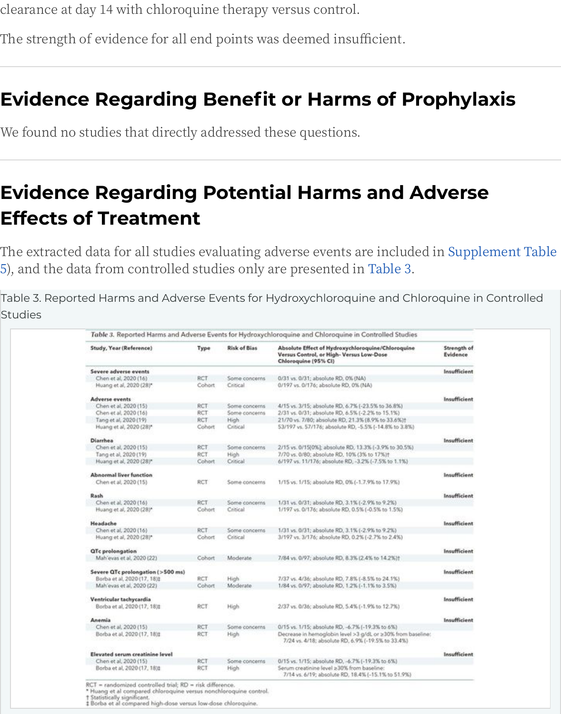#### **Evidence Regarding Benefit or Harms of Prophylaxis**

We found no studies that directly addressed these questions.

## **Evidence Regarding Potential Harms and Advers Effects of Treatment**

The extracted data for all studies evaluating adverse events are included in Supp 5), and the data from controlled studies only are presented in Table 3.

Table 3. Reported Harms and Adverse Events for Hydroxychloroquine and Chloroquine i **Studies** 

<span id="page-9-0"></span>

|                                                  |                |                           | Table 3. Reported Harms and Adverse Events for Hydroxychloroquine and Chloroquine in Controlled Studies               |                                |
|--------------------------------------------------|----------------|---------------------------|-----------------------------------------------------------------------------------------------------------------------|--------------------------------|
| Study, Year (Reference)                          | Type           | <b>Risk of Bias</b>       | Absolute Effect of Hydroxychloroquine/Chloroquine<br>Versus Control, or High- Versus Low-Dose<br>Chloroquine (95% CI) | Strength of<br><b>Evidence</b> |
| Severe adverse events                            |                |                           |                                                                                                                       | Insufficient                   |
| Chen et al. 2020 (16)<br>Huang et al, 2020 (28)* | RCT<br>Cohort. | Some concerns<br>Critical | 0/31 vs. 0/31; absolute RD, 0% (NA)<br>0/197 vs. 0/176; absolute RD, 0% (NA)                                          |                                |
| <b>Adverse events</b>                            |                |                           |                                                                                                                       | <b>Insufficient</b>            |
| Chen et al. 2020 (15)                            | RCT            | Some concerns             | 4/15 vs. 3/15; absolute RD, 6.7% (-23.5% to 36.8%)                                                                    |                                |
| Chen et al, 2020 (16)                            | RCT            | Some concerns             | 2/31 vs. 0/31; absolute RD, 6.5% (-2.2% to 15.1%)                                                                     |                                |
| Tang et al, 2020 (19)                            | RCT.           | High                      | 21/70 vs. 7/80; absolute RD, 21.3% (8.9% to 33.6%)†                                                                   |                                |
| Huang et al, 2020 (28)*                          | Cohort.        | Critical                  | 53/197 vs. 57/176; absolute RD, -5.5% (-14.8% to 3.8%)                                                                |                                |
| <b>Diarrhea</b>                                  |                |                           |                                                                                                                       | <b>Insufficient</b>            |
| Chen et al, 2020 (15)                            | RCT            | Some concerns             | 2/15 vs. 0/15(0%); absolute RD, 13.3% (-3.9% to 30.5%)                                                                |                                |
| Tang et al, 2020 (19)                            | RCT            | High                      | 7/70 vs. 0/80; absolute RD, 10% (3% to 17%)†                                                                          |                                |
| Huang et al, 2020 (28)*                          | Cohort         | Critical                  | 6/197 vs. 11/176; absolute RD, -3.2% (-7.5% to 1.1%)                                                                  |                                |
| <b>Abnormal liver function</b>                   |                |                           |                                                                                                                       | Insufficient                   |
| Chen et al, 2020 (15)                            | <b>RCT</b>     | Some concerns             | 1/15 vs. 1/15; absolute RD, 0% (-1.7.9% to 17.9%)                                                                     |                                |
| Rash                                             |                |                           |                                                                                                                       | Insufficient                   |
| Chen et al. 2020 (16)                            | RCT            | Some concerns             | 1/31 vs. 0/31; absolute RD, 3.1% (-2.9% to 9.2%)                                                                      |                                |
| Huang et al, 2020 (28)*                          | Cohort:        | Critical                  | 1/197 vs. 0/176; absolute RD, 0.5% (-0.5% to 1.5%)                                                                    |                                |
| Headache                                         |                |                           |                                                                                                                       | Insufficient                   |
| Chen et al, 2020 (16)                            | RCT            | Some concerns             | 1/31 vs. 0/31; absolute RD, 3.1% (-2.9% to 9.2%)                                                                      |                                |
| Huang et al, 2020 (28)*                          | Cohort         | Critical                  | 3/197 vs. 3/176; absolute RD, 0.2% (-2.7% to 2.4%)                                                                    |                                |
| <b>QTc</b> prolongation                          |                |                           |                                                                                                                       | <b>Insufficient</b>            |
| Mah'evas et al. 2020 (22)                        | Cohort         | Moderate                  | 7/84 vs. 0/97; absolute RD, 8.3% (2.4% to 14.2%)†                                                                     |                                |
| Severe QTc prolongation (>500 ms)                |                |                           |                                                                                                                       | Insufficient                   |
| Borba et al. 2020 (17, 18):                      | RCT            | High <sup>1</sup>         | 7/37 vs. 4/36; absolute RD, 7.8% (-8.5% to 24.1%)                                                                     |                                |
| Mah'evas et al. 2020 (22)                        | Cohort         | Moderate.                 | 1/84 vs. 0/97; absolute RD, 1.2% (-1.1% to 3.5%)                                                                      |                                |
| Ventricular tachycardia                          |                |                           |                                                                                                                       | Insufficient                   |
| Borba et al. 2020 (17, 18):                      | RCT.           | High.                     | 2/37 vs. 0/36; absolute RD, 5.4% (-1.9% to 12.7%)                                                                     |                                |
| Anemia                                           |                |                           |                                                                                                                       | Insufficient                   |
| Chen et al, 2020 (15)                            | RCT            | Some concerns             | 0/15 vs. 1/15; absolute RD, -6.7% [-19.3% to 6%)                                                                      |                                |
| Borba et al, 2020 (17, 18):                      | RCT            | High                      | Decrease in hemoglobin level >3 g/dL or ≥30% from baseline:<br>7/24 vs. 4/18; absolute RD, 6.9% (-19.5% to 33.4%)     |                                |
| Elevated serum creatinine level                  |                |                           |                                                                                                                       | <b>Insufficient</b>            |
| Chen et al. 2020 (15)                            | RCT            | Some concerns             | 0/15 vs. 1/15; absolute RD, -6.7% (-19.3% to 6%)                                                                      |                                |
| Borba et al. 2020 (17, 18):                      | RCT            | High.                     | Serum creatinine level ≥30% from baseline:<br>7/14 vs. 6/19; absolute RD, 18.4% (-15.1% to 51.9%)                     |                                |

Statistically significant.<br>Borba et al compared high-dose versus low-dose chloroquine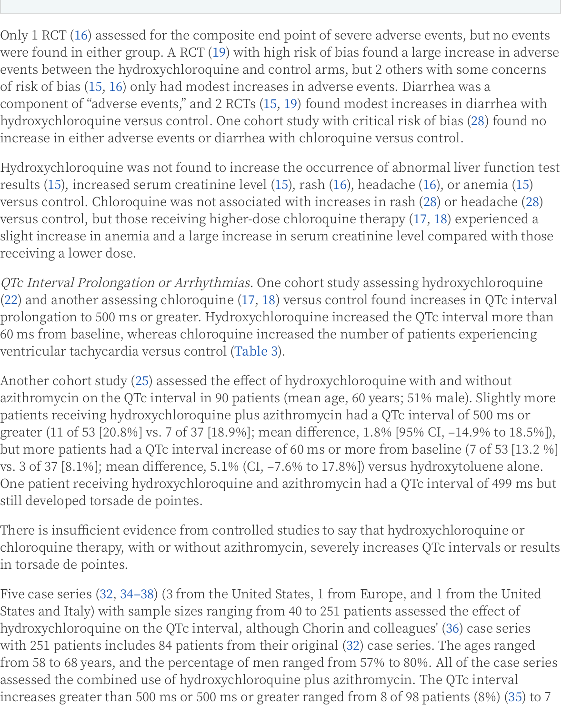component of "adverse events," and 2 RCTs (15, 19) found modest increases in di hydroxychloroquine versus control. One cohort study with critical risk of bias (2 increase in either adverse events or diarrhea with chloroquine versus control.

Hydroxychloroquine was not found to increase the occurrence of abnormal lives results (15), increased serum creatinine level (15), rash (16), headache (16), or an versus control. Chloroquine was not associated with increases in rash (28) or he versus control, but those receiving higher-dose chloroquine therapy (17, 18) exp slight increase in anemia and a large increase in serum creatinine level compare receiving a lower dose.

QTc Interval Prolongation or Arrhythmias. One cohort study assessing hydroxyc  $(22)$  and another assessing chloroquine  $(17, 18)$  versus control found increases in prolongation to 500 ms or greater. Hydroxychloroquine increased the QTc interv 60 ms from baseline, whereas chloroquine increased the number of patients exp ventricular tachycardia versus control (Table 3).

Another cohort study (25) assessed the effect of hydroxychloroquine with and w azithromycin on the QTc interval in 90 patients (mean age, 60 years; 51% male). patients receiving hydroxychloroquine plus azithromycin had a QTc interval of 5 greater (11 of 53 [20.8%] vs. 7 of 37 [18.9%]; mean difference, 1.8% [95% CI, -14.9 but more patients had a QTc interval increase of 60 ms or more from baseline (7 vs. 3 of 37 [8.1%]; mean difference, 5.1% (CI, –7.6% to 17.8%]) versus hydroxytol One patient receiving hydroxychloroquine and azithromycin had a QTc interval still developed torsade de pointes.

There is insufficient evidence from controlled studies to say that hydroxychloro chloroquine therapy, with or without azithromycin, severely increases QTc inter in torsade de pointes.

Five case series (32, 34–38) (3 from the United States, 1 from Europe, and 1 from States and Italy) with sample sizes ranging from 40 to 251 patients assessed the  $\epsilon$ hydroxychloroquine on the QTc interval, although Chorin and colleagues' (36) ca with 251 patients includes 84 patients from their original (32) case series. The ag from 58 to 68 years, and the percentage of men ranged from 57% to 80%. All of t assessed the combined use of hydroxychloroquine plus azithromycin. The QTc i increases greater than 500 ms or 500 ms or greater ranged from 8 of 98 patients (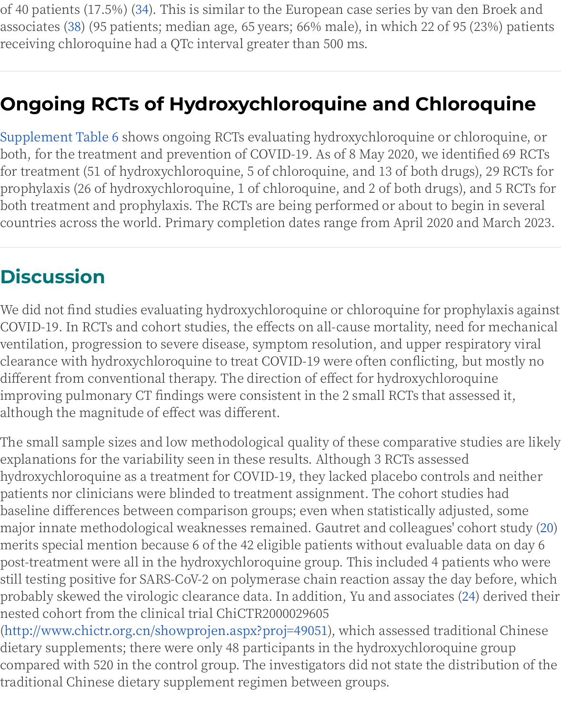### **Ongoing RCTs of Hydroxychloroquine and Chlorc**

Supplement Table 6 shows ongoing RCTs evaluating hydroxychloroquine or chlo both, for the treatment and prevention of COVID-19. As of 8 May 2020, we identi for treatment (51 of hydroxychloroquine, 5 of chloroquine, and 13 of both drugs) prophylaxis (26 of hydroxychloroquine, 1 of chloroquine, and 2 of both drugs), a both treatment and prophylaxis. The RCTs are being performed or about to begi countries across the world. Primary completion dates range from April 2020 and

## **Discussion**

We did not find studies evaluating hydroxychloroquine or chloroquine for propl COVID-19. In RCTs and cohort studies, the effects on all-cause mortality, need fo ventilation, progression to severe disease, symptom resolution, and upper respi: clearance with hydroxychloroquine to treat COVID-19 were often conflicting, bu different from conventional therapy. The direction of effect for hydroxychloroqu improving pulmonary CT findings were consistent in the 2 small RCTs that asses although the magnitude of effect was different.

The small sample sizes and low methodological quality of these comparative stu explanations for the variability seen in these results. Although 3 RCTs assessed hydroxychloroquine as a treatment for COVID-19, they lacked placebo controls a patients nor clinicians were blinded to treatment assignment. The cohort studie baseline differences between comparison groups; even when statistically adjust major innate methodological weaknesses remained. Gautret and colleagues' col merits special mention because 6 of the 42 eligible patients without evaluable da post-treatment were all in the hydroxychloroquine group. This included 4 patier still testing positive for SARS-CoV-2 on polymerase chain reaction assay the day probably skewed the virologic clearance data. In addition, Yu and associates (24) .<br>. nested cohort from the clinical trial ChiCTR2000029605

(http://www.chictr.org.cn/showprojen.aspx?proj=49051), which assessed traditio dietary supplements; there were only 48 participants in the hydroxychloroquine compared with 520 in the control group. The investigators did not state the distr traditional Chinese dietary supplement regimen between groups.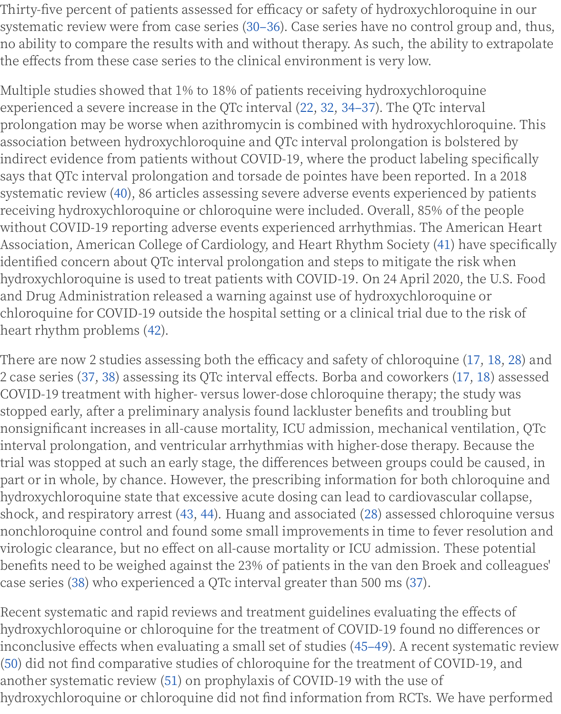experienced a severe increase in the QTc interval (22, 32, 34–37). The QTc interva prolongation may be worse when azithromycin is combined with hydroxychlord association between hydroxychloroquine and QTc interval prolongation is bolste indirect evidence from patients without COVID-19, where the product labeling s says that QTc interval prolongation and torsade de pointes have been reported. I systematic review (40), 86 articles assessing severe adverse events experienced b receiving hydroxychloroquine or chloroquine were included. Overall, 85% of the without COVID-19 reporting adverse events experienced arrhythmias. The Amer Association, American College of Cardiology, and Heart Rhythm Society (41) hav identified concern about QTc interval prolongation and steps to mitigate the risl hydroxychloroquine is used to treat patients with COVID-19. On 24 April 2020, th and Drug Administration released a warning against use of hydroxychloroquine chloroquine for COVID-19 outside the hospital setting or a clinical trial due to th heart rhythm problems (42).

There are now 2 studies assessing both the efficacy and safety of chloroquine  $(1)$ 2 case series (37, 38) assessing its QTc interval effects. Borba and coworkers (17, COVID-19 treatment with higher- versus lower-dose chloroquine therapy; the stu stopped early, after a preliminary analysis found lackluster benefits and troublin nonsignificant increases in all-cause mortality, ICU admission, mechanical vent interval prolongation, and ventricular arrhythmias with higher-dose therapy. Be trial was stopped at such an early stage, the differences between groups could be part or in whole, by chance. However, the prescribing information for both chlo hydroxychloroquine state that excessive acute dosing can lead to cardiovascular shock, and respiratory arrest (43, 44). Huang and associated (28) assessed chlord nonchloroquine control and found some small improvements in time to fever re virologic clearance, but no effect on all-cause mortality or ICU admission. These benefits need to be weighed against the 23% of patients in the van den Broek an case series (38) who experienced a QTc interval greater than 500 ms (37).

Recent systematic and rapid reviews and treatment guidelines evaluating the eff hydroxychloroquine or chloroquine for the treatment of COVID-19 found no diff inconclusive effects when evaluating a small set of studies (45–49). A recent syst (50) did not find comparative studies of chloroquine for the treatment of COVID another systematic review (51) on prophylaxis of COVID-19 with the use of hydroxychloroquine or chloroquine did not find information from RCTs. We have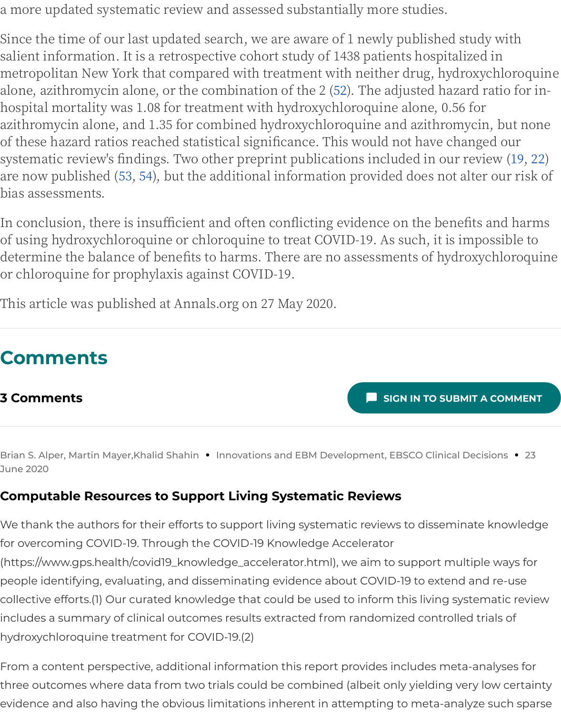hospital mortality was 1.08 for treatment with hydroxychloroquine alone, 0.56 fo azithromycin alone, and 1.35 for combined hydroxychloroquine and azithromyc of these hazard ratios reached statistical significance. This would not have chan systematic review's findings. Two other preprint publications included in our re are now published (53, 54), but the additional information provided does not alt bias assessments.

In conclusion, there is insufficient and often conflicting evidence on the benefit of using hydroxychloroquine or chloroquine to treat COVID-19. As such, it is imdetermine the balance of benefits to harms. There are no assessments of hydrox or chloroquine for prophylaxis against COVID-19.

This article was published at Annals.org on 27 May 2020.

## **Comments**

#### **3 Comments**

**SIGN IN TO SUBMIT** 

Brian S. Alper, Martin Mayer, Khalid Shahin • Innovations and EBM Development, EBSCO Clinical De June 2020

#### **Computable Resources to Support Living Systematic Reviews**

We thank the authors for their efforts to support living systematic reviews to disseminat for overcoming COVID-19. Through the COVID-19 Knowledge Accelerator (https://www.gps.health/covid19\_knowledge\_accelerator.html), we aim to support multip people identifying, evaluating, and disseminating evidence about COVID-19 to extend a collective efforts.(1) Our curated knowledge that could be used to inform this living syste includes a summary of clinical outcomes results extracted from randomized controlled hydroxychloroquine treatment for COVID-19.(2)

From a content perspective, additional information this report provides includes meta-a three outcomes where data from two trials could be combined (albeit only yielding very evidence and also having the obvious limitations inherent in attempting to meta-analyz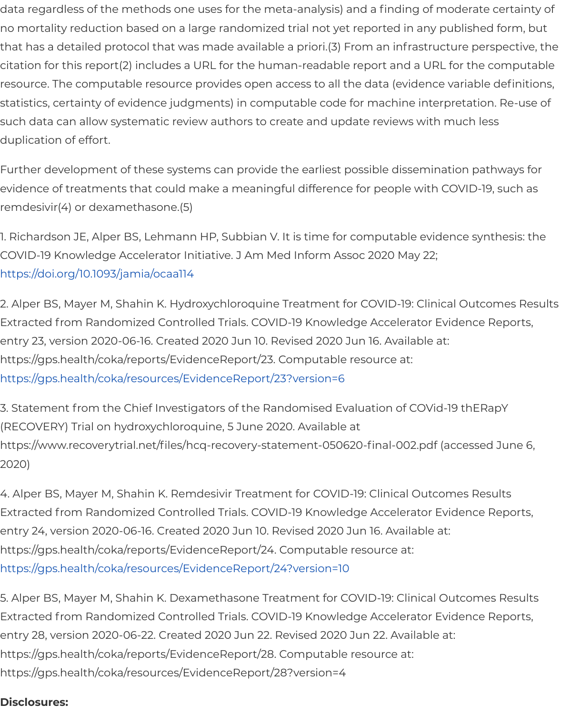statistics, certainty of evidence judgments) in computable code for machine interpretat such data can allow systematic review authors to create and update reviews with much duplication of effort.

Further development of these systems can provide the earliest possible dissemination p evidence of treatments that could make a meaningful difference for people with COVID remdesivir(4) or dexamethasone.(5)

1. Richardson JE, Alper BS, Lehmann HP, Subbian V. It is time for computable evidence s COVID-19 Knowledge Accelerator Initiative. J Am Med Inform Assoc 2020 May 22; https://doi.org/10.1093/jamia/ocaa114

2. Alper BS, Mayer M, Shahin K. Hydroxychloroquine Treatment for COVID-19: Clinical Ou Extracted from Randomized Controlled Trials. COVID-19 Knowledge Accelerator Evidenc entry 23, version 2020-06-16. Created 2020 Jun 10. Revised 2020 Jun 16. Available at: https://gps.health/coka/reports/EvidenceReport/23. Computable resource at: [https://gps.health/coka/resources/Ev](https://doi.org/10.1093/jamia/ocaa114)idenceReport/23?version=6

3. Statement from the Chief Investigators of the Randomised Evaluation of COVid-19 thE (RECOVERY) Trial on hydroxychloroquine, 5 June 2020. Available at https://www.recoverytrial.net/files/hcq-recovery-statement-050620-final-002.pdf (access [2020\)](https://gps.health/coka/resources/EvidenceReport/23?version=6)

4. Alper BS, Mayer M, Shahin K. Remdesivir Treatment for COVID-19: Clinical Outcomes F Extracted from Randomized Controlled Trials. COVID-19 Knowledge Accelerator Evidenc entry 24, version 2020-06-16. Created 2020 Jun 10. Revised 2020 Jun 16. Available at: https://gps.health/coka/reports/EvidenceReport/24. Computable resource at: https://gps.health/coka/resources/EvidenceReport/24?version=10

5. Alper BS, Mayer M, Shahin K. Dexamethasone Treatment for COVID-19: Clinical Outcor Extracted from Randomized Controlled Trials. COVID-19 Knowledge Accelerator Evidenc entry 28, version 2020-06-22. Created 2020 Jun 22. Revised 2020 Jun 22. Available at: https://gps.health/coka/reports/EvidenceReport/28. Computable resource at: [https://gps.health/coka/resources/EvidenceReport/28?version=4](https://gps.health/coka/resources/EvidenceReport/24?version=10)

#### **Disclosures:**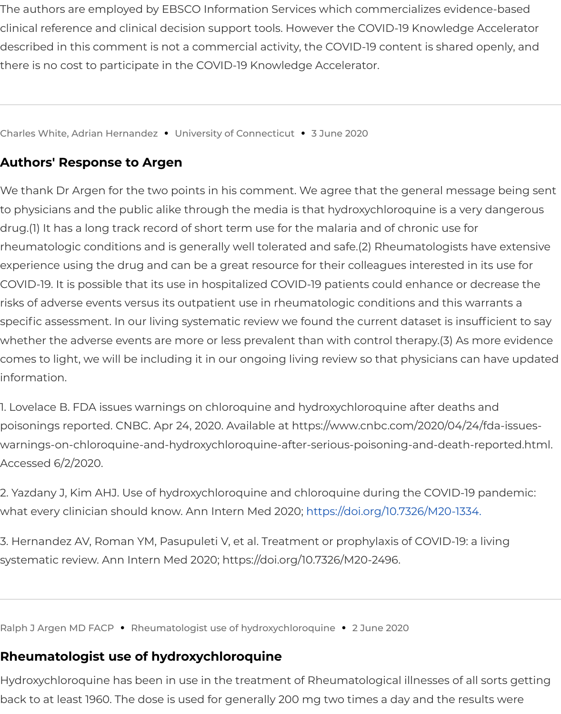#### **Authors' Response to Argen**

We thank Dr Argen for the two points in his comment. We agree that the general messa to physicians and the public alike through the media is that hydroxychloroquine is a ver drug.(1) It has a long track record of short term use for the malaria and of chronic use for rheumatologic conditions and is generally well tolerated and safe.(2) Rheumatologists h experience using the drug and can be a great resource for their colleagues interested in COVID-19. It is possible that its use in hospitalized COVID-19 patients could enhance or d risks of adverse events versus its outpatient use in rheumatologic conditions and this wa specific assessment. In our living systematic review we found the current dataset is insu whether the adverse events are more or less prevalent than with control therapy.(3) As r comes to light, we will be including it in our ongoing living review so that physicians car information.

1. Lovelace B. FDA issues warnings on chloroquine and hydroxychloroquine after deaths poisonings reported. CNBC. Apr 24, 2020. Available at https://www.cnbc.com/2020/04/24 warnings-on-chloroquine-and-hydroxychloroquine-after-serious-poisoning-and-death-i Accessed 6/2/2020.

2. Yazdany J, Kim AHJ. Use of hydroxychloroquine and chloroquine during the COVID-19 what every clinician should know. Ann Intern Med 2020; https://doi.org/10.7326/M20-1334.

3. Hernandez AV, Roman YM, Pasupuleti V, et al. Treatment or prophylaxis of COVID-19: a systematic review. Ann Intern Med 2020; https://doi.org/10.7326/M20-2496.

Ralph J Argen MD FACP **•** Rheumatologist use of hydroxychloroquine **•** 2 June 2020

#### **Rheumatologist use of hydroxychloroquine**

Hydroxychloroquine has been in use in the treatment of Rheumatological illnesses of al back to at least 1960. The dose is used for generally 200 mg two times a day and the resu